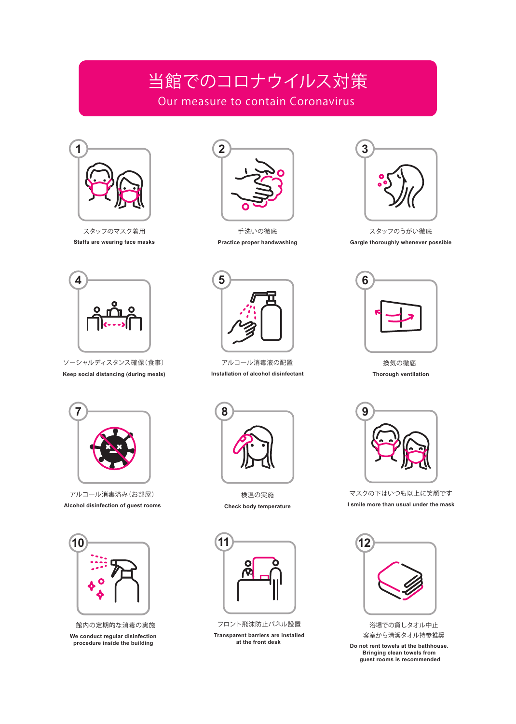## 当館でのコロナウイルス対策 Our measure to contain Coronavirus



スタッフのマスク着用 **Staffs are wearing face masks**



手洗いの徹底 **Practice proper handwashing**



スタッフのうがい徹底 **Gargle thoroughly whenever possible**



ソーシャルディスタンス確保(食事) **Keep social distancing (during meals)**



アルコール消毒液の配置 **Installation of alcohol disinfectant**



換気の徹底 **Thorough ventilation**



アルコール消毒済み(お部屋) **Alcohol disinfection of guest rooms**



館内の定期的な消毒の実施 **We conduct regular disinfection procedure inside the building**



検温の実施 **Check body temperature**



**Transparent barriers are installed at the front desk**  フロント飛沫防止パネル設置



マスクの下はいつも以上に笑顔です **I smile more than usual under the mask**



浴場での貸しタオル中止 客室から清潔タオル持参推奨

**Do not rent towels at the bathhouse. Bringing clean towels from guest rooms is recommended**